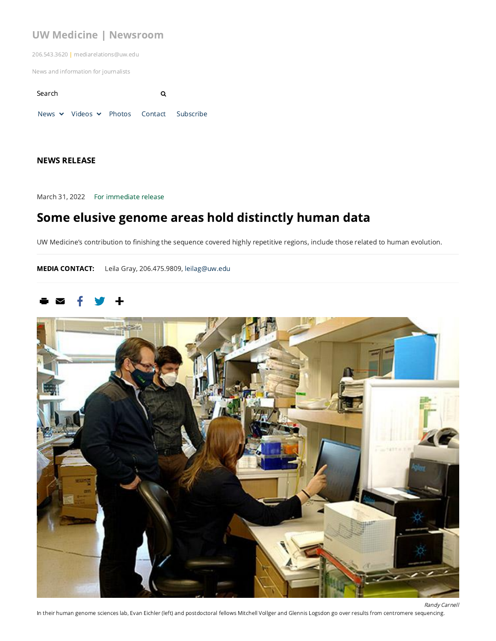## UW Medicine | [Newsroom](https://newsroom.uw.edu/)

206.543.3620 | mediarelations@uw.edu

News and information for journalists

Search **Q** [News](https://newsroom.uw.edu/news) v [Videos](https://newsroom.uw.edu/search/audio-video?sort=field_date&order=desc) v [Photos](https://newsroom.uw.edu/search/photo?sort=field_date&order=desc) [Contact](https://newsroom.uw.edu/contact-and-staff) [Subscribe](https://newsroom.uw.edu/subscribe-our-newsletter)

#### NEWS RELEASE

March 31, 2022 For immediate release

# Some elusive genome areas hold distinctly human data

UW Medicine's contribution to finishing the sequence covered highly repetitive regions, include those related to human evolution.

MEDIA CONTACT: Leila Gray, 206.475.9809, [leilag@uw.edu](mailto:leilag@uw.edu)



In their human genome sciences lab, Evan Eichler (left) and postdoctoral fellows Mitchell Vollger and Glennis Logsdon go over results from centromere sequencing.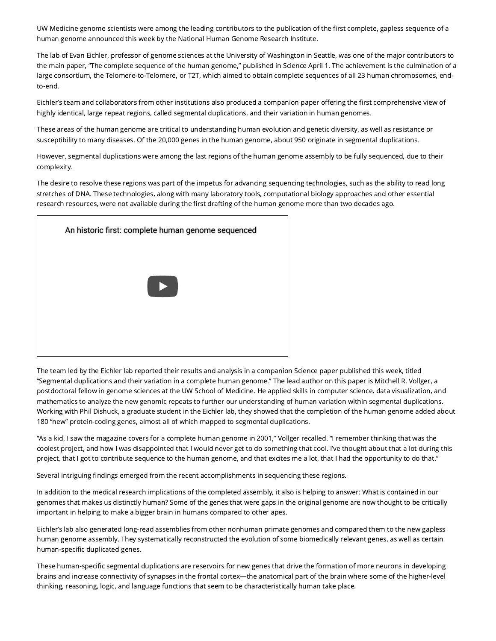UW Medicine genome scientists were among the leading contributors to the publication of the first complete, gapless sequence of a human genome announced this week by the National Human Genome Research Institute.

The lab of Evan Eichler, professor of genome sciences at the University of Washington in Seattle, was one of the major contributors to the main paper, "The complete sequence of the human genome," published in Science April 1. The achievement is the culmination of a large consortium, the Telomere-to-Telomere, or T2T, which aimed to obtain complete sequences of all 23 human chromosomes, endto-end.

Eichler's team and collaborators from other institutions also produced a companion paper offering the first comprehensive view of highly identical, large repeat regions, called segmental duplications, and their variation in human genomes.

These areas of the human genome are critical to understanding human evolution and genetic diversity, as well as resistance or susceptibility to many diseases. Of the 20,000 genes in the human genome, about 950 originate in segmental duplications.

However, segmental duplications were among the last regions of the human genome assembly to be fully sequenced, due to their complexity.

The desire to resolve these regions was part of the impetus for advancing sequencing technologies, such as the ability to read long stretches of DNA. These technologies, along with many laboratory tools, computational biology approaches and other essential research resources, were not available during the first drafting of the human genome more than two decades ago.



The team led by the Eichler lab reported their results and analysis in a companion Science paper published this week, titled "Segmental duplications and their variation in a complete human genome." The lead author on this paper is Mitchell R. Vollger, a postdoctoral fellow in genome sciences at the UW School of Medicine. He applied skills in computer science, data visualization, and mathematics to analyze the new genomic repeats to further our understanding of human variation within segmental duplications. Working with Phil Dishuck, a graduate student in the Eichler lab, they showed that the completion of the human genome added about 180 "new" protein-coding genes, almost all of which mapped to segmental duplications.

"As a kid, I saw the magazine covers for a complete human genome in 2001," Vollger recalled. "I remember thinking that was the coolest project, and how I was disappointed that I would never get to do something that cool. I've thought about that a lot during this project, that I got to contribute sequence to the human genome, and that excites me a lot, that I had the opportunity to do that."

Several intriguing findings emerged from the recent accomplishments in sequencing these regions.

In addition to the medical research implications of the completed assembly, it also is helping to answer: What is contained in our genomes that makes us distinctly human? Some of the genes that were gaps in the original genome are now thought to be critically important in helping to make a bigger brain in humans compared to other apes.

Eichler's lab also generated long-read assemblies from other nonhuman primate genomes and compared them to the new gapless human genome assembly. They systematically reconstructed the evolution of some biomedically relevant genes, as well as certain human-specific duplicated genes.

These human-specific segmental duplications are reservoirs for new genes that drive the formation of more neurons in developing brains and increase connectivity of synapses in the frontal cortex—the anatomical part of the brain where some of the higher-level thinking, reasoning, logic, and language functions that seem to be characteristically human take place.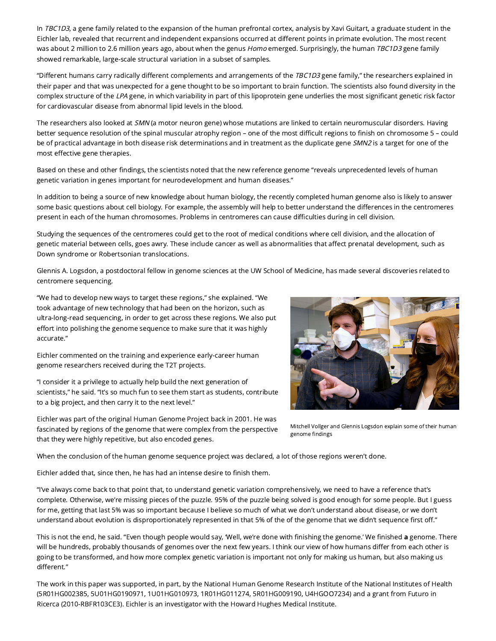In TBC1D3, a gene family related to the expansion of the human prefrontal cortex, analysis by Xavi Guitart, a graduate student in the Eichler lab, revealed that recurrent and independent expansions occurred at different points in primate evolution. The most recent was about 2 million to 2.6 million years ago, about when the genus Homo emerged. Surprisingly, the human TBC1D3 gene family showed remarkable, large-scale structural variation in a subset of samples.

"Different humans carry radically different complements and arrangements of the TBC1D3 gene family," the researchers explained in their paper and that was unexpected for a gene thought to be so important to brain function. The scientists also found diversity in the complex structure of the LPA gene, in which variability in part of this lipoprotein gene underlies the most significant genetic risk factor for cardiovascular disease from abnormal lipid levels in the blood.

The researchers also looked at SMN (a motor neuron gene) whose mutations are linked to certain neuromuscular disorders. Having better sequence resolution of the spinal muscular atrophy region – one of the most difficult regions to finish on chromosome 5 – could be of practical advantage in both disease risk determinations and in treatment as the duplicate gene SMN2 is a target for one of the most effective gene therapies.

Based on these and other findings, the scientists noted that the new reference genome "reveals unprecedented levels of human genetic variation in genes important for neurodevelopment and human diseases."

In addition to being a source of new knowledge about human biology, the recently completed human genome also is likely to answer some basic questions about cell biology. For example, the assembly will help to better understand the differences in the centromeres present in each of the human chromosomes. Problems in centromeres can cause difficulties during in cell division.

Studying the sequences of the centromeres could get to the root of medical conditions where cell division, and the allocation of genetic material between cells, goes awry. These include cancer as well as abnormalities that affect prenatal development, such as Down syndrome or Robertsonian translocations.

Glennis A. Logsdon, a postdoctoral fellow in genome sciences at the UW School of Medicine, has made several discoveries related to centromere sequencing.

"We had to develop new ways to target these regions," she explained. "We took advantage of new technology that had been on the horizon, such as ultra-long-read sequencing, in order to get across these regions. We also put effort into polishing the genome sequence to make sure that it was highly accurate."

Eichler commented on the training and experience early-career human genome researchers received during the T2T projects.

"I consider it a privilege to actually help build the next generation of scientists," he said. "It's so much fun to see them start as students, contribute to a big project, and then carry it to the next level."



Eichler was part of the original Human Genome Project back in 2001. He was fascinated by regions of the genome that were complex from the perspective that they were highly repetitive, but also encoded genes.

Mitchell Vollger and Glennis Logsdon explain some of their human genome findings

When the conclusion of the human genome sequence project was declared, a lot of those regions weren't done.

Eichler added that, since then, he has had an intense desire to finish them.

"I've always come back to that point that, to understand genetic variation comprehensively, we need to have a reference that's complete. Otherwise, we're missing pieces of the puzzle. 95% of the puzzle being solved is good enough for some people. But I guess for me, getting that last 5% was so important because I believe so much of what we don't understand about disease, or we don't understand about evolution is disproportionately represented in that 5% of the of the genome that we didn't sequence first off."

This is not the end, he said. "Even though people would say, 'Well, we're done with finishing the genome.' We finished a genome. There will be hundreds, probably thousands of genomes over the next few years. I think our view of how humans differ from each other is going to be transformed, and how more complex genetic variation is important not only for making us human, but also making us different."

The work in this paper was supported, in part, by the National Human Genome Research Institute of the National Institutes of Health (5R01HG002385, 5U01HG0190971, 1U01HG010973, 1R01HG011274, 5R01HG009190, U4HGOO7234) and a grant from Futuro in Ricerca (2010-RBFR103CE3). Eichler is an investigator with the Howard Hughes Medical Institute.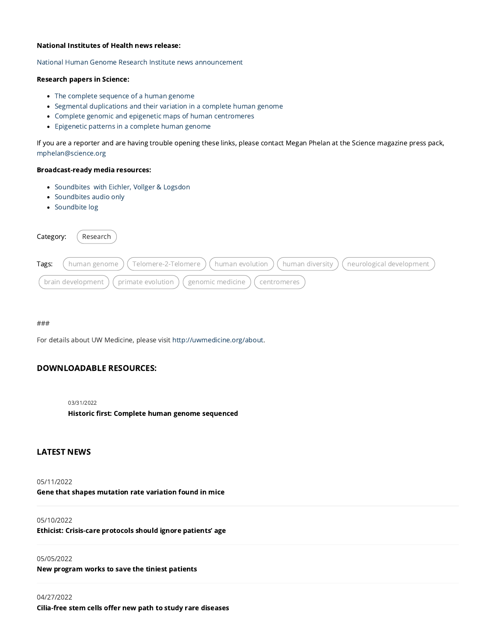#### National Institutes of Health news release:

National Human Genome Research Institute news [announcement](https://www.genome.gov/about-genomics/telomere-to-telomere)

#### Research papers in Science:

- The complete [sequence](https://www-science-org.offcampus.lib.washington.edu/doi/10.1126/science.abj6987) of a human genome
- Segmental [duplications](http://ttps//www-science-org.offcampus.lib.washington.edu/doi/10.1126/science.abj6965) and their variation in a complete human genome
- Complete genomic and epigenetic maps of human [centromeres](https://www-science-org.offcampus.lib.washington.edu/doi/10.1126/science.abj5089)
- [Epigenetic](https://www-science-org.offcampus.lib.washington.edu/doi/10.1126/science.abj5089) patterns in a complete human genome

If you are a reporter and are having trouble opening these links, please contact Megan Phelan at the Science magazine press pack, [mphelan@science.org](mailto:mphelan@science.org)

#### Broadcast-ready media resources:

- [Soundbites](https://drive.google.com/file/d/1xQj-z6mYtzhrxNFcaW8dFO-p0t4ofhL3/view?usp=sharing) with Eichler, Vollger & Logsdon
- [Soundbites](https://drive.google.com/file/d/1BNcXszbRs3s7GXy4RfEtyO6gcAK3dCm5/view?usp=sharing) audio only
- [Soundbite](https://docs.google.com/document/d/1C4LFfS5Q1kbelqxpHk6Rnuqf0Ay5IgBw/edit?usp=sharing&ouid=102458169604367614841&rtpof=true&sd=true) log

| Category: | Research                                                                                                    |
|-----------|-------------------------------------------------------------------------------------------------------------|
| Tags:     | ( Telomere-2-Telomere ) ( human evolution ) ( human diversity ) ( neurological development<br>human genome) |
|           | brain development)<br>$'$ primate evolution<br>genomic medicine)<br>centromeres                             |

###

For details about UW Medicine, please visit [http://uwmedicine.org/about.](http://uwmedicine.org/about)

#### DOWNLOADABLE RESOURCES:

#### 03/31/2022

Historic first: Complete human genome [sequenced](https://newsroom.uw.edu/resource/historic-first-complete-human-genome-sequenced)

#### LATEST NEWS

#### 05/11/2022

Gene that shapes [mutation](https://newsroom.uw.edu/news/gene-shapes-mutation-rate-variation-found-mice) rate variation found in mice

#### 05/10/2022

Ethicist: [Crisis-care](https://newsroom.uw.edu/news/ethicist-crisis-care-protocols-should-ignore-patients-age) protocols should ignore patients' age

#### 05/05/2022

New [program](https://newsroom.uw.edu/news/new-program-works-save-tiniest-patients) works to save the tiniest patients